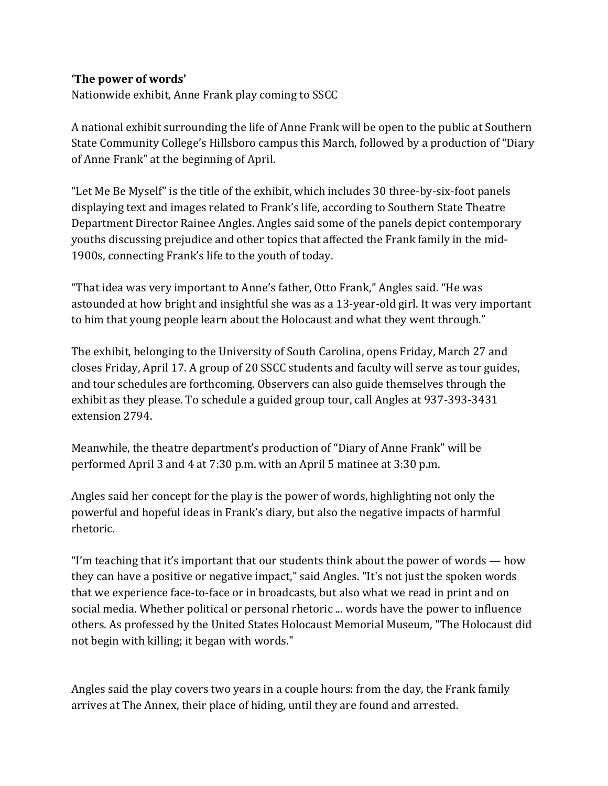## **'The power of words'**

Nationwide exhibit, Anne Frank play coming to SSCC

A national exhibit surrounding the life of Anne Frank will be open to the public at Southern State Community College's Hillsboro campus this March, followed by a production of "Diary of Anne Frank" at the beginning of April.

"Let Me Be Myself" is the title of the exhibit, which includes 30 three-by-six-foot panels displaying text and images related to Frank's life, according to Southern State Theatre Department Director Rainee Angles. Angles said some of the panels depict contemporary youths discussing prejudice and other topics that affected the Frank family in the mid-1900s, connecting Frank's life to the youth of today.

"That idea was very important to Anne's father, Otto Frank," Angles said. "He was astounded at how bright and insightful she was as a 13-year-old girl. It was very important to him that young people learn about the Holocaust and what they went through."

The exhibit, belonging to the University of South Carolina, opens Friday, March 27 and closes Friday, April 17. A group of 20 SSCC students and faculty will serve as tour guides, and tour schedules are forthcoming. Observers can also guide themselves through the exhibit as they please. To schedule a guided group tour, call Angles at 937-393-3431 extension 2794.

Meanwhile, the theatre department's production of "Diary of Anne Frank" will be performed April 3 and 4 at 7:30 p.m. with an April 5 matinee at 3:30 p.m.

Angles said her concept for the play is the power of words, highlighting not only the powerful and hopeful ideas in Frank's diary, but also the negative impacts of harmful rhetoric.

"I'm teaching that it's important that our students think about the power of words  $-$  how they can have a positive or negative impact," said Angles. "It's not just the spoken words that we experience face-to-face or in broadcasts, but also what we read in print and on social media. Whether political or personal rhetoric ... words have the power to influence others. As professed by the United States Holocaust Memorial Museum, "The Holocaust did not begin with killing; it began with words."

Angles said the play covers two years in a couple hours: from the day, the Frank family arrives at The Annex, their place of hiding, until they are found and arrested.